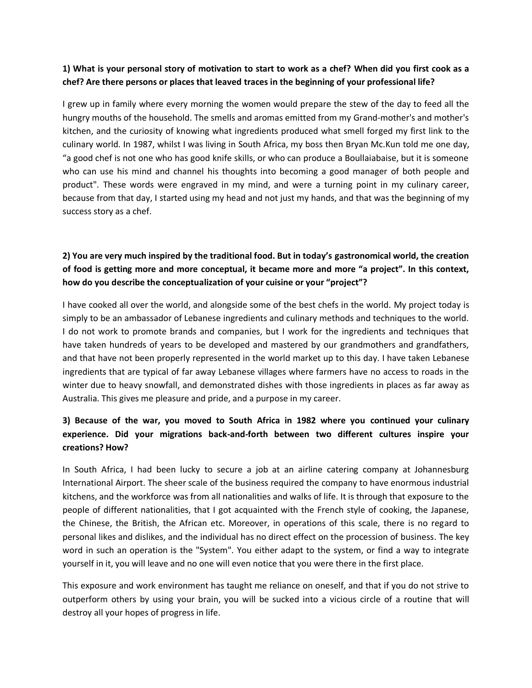### **1) What is your personal story of motivation to start to work as a chef? When did you first cook as a chef? Are there persons or places that leaved traces in the beginning of your professional life?**

I grew up in family where every morning the women would prepare the stew of the day to feed all the hungry mouths of the household. The smells and aromas emitted from my Grand-mother's and mother's kitchen, and the curiosity of knowing what ingredients produced what smell forged my first link to the culinary world. In 1987, whilst I was living in South Africa, my boss then Bryan Mc.Kun told me one day, "a good chef is not one who has good knife skills, or who can produce a Boullaiabaise, but it is someone who can use his mind and channel his thoughts into becoming a good manager of both people and product". These words were engraved in my mind, and were a turning point in my culinary career, because from that day, I started using my head and not just my hands, and that was the beginning of my success story as a chef.

## **2) You are very much inspired by the traditional food. But in today's gastronomical world, the creation of food is getting more and more conceptual, it became more and more "a project". In this context, how do you describe the conceptualization of your cuisine or your "project"?**

I have cooked all over the world, and alongside some of the best chefs in the world. My project today is simply to be an ambassador of Lebanese ingredients and culinary methods and techniques to the world. I do not work to promote brands and companies, but I work for the ingredients and techniques that have taken hundreds of years to be developed and mastered by our grandmothers and grandfathers, and that have not been properly represented in the world market up to this day. I have taken Lebanese ingredients that are typical of far away Lebanese villages where farmers have no access to roads in the winter due to heavy snowfall, and demonstrated dishes with those ingredients in places as far away as Australia. This gives me pleasure and pride, and a purpose in my career.

## **3) Because of the war, you moved to South Africa in 1982 where you continued your culinary experience. Did your migrations back-and-forth between two different cultures inspire your creations? How?**

In South Africa, I had been lucky to secure a job at an airline catering company at Johannesburg International Airport. The sheer scale of the business required the company to have enormous industrial kitchens, and the workforce was from all nationalities and walks of life. It is through that exposure to the people of different nationalities, that I got acquainted with the French style of cooking, the Japanese, the Chinese, the British, the African etc. Moreover, in operations of this scale, there is no regard to personal likes and dislikes, and the individual has no direct effect on the procession of business. The key word in such an operation is the "System". You either adapt to the system, or find a way to integrate yourself in it, you will leave and no one will even notice that you were there in the first place.

This exposure and work environment has taught me reliance on oneself, and that if you do not strive to outperform others by using your brain, you will be sucked into a vicious circle of a routine that will destroy all your hopes of progress in life.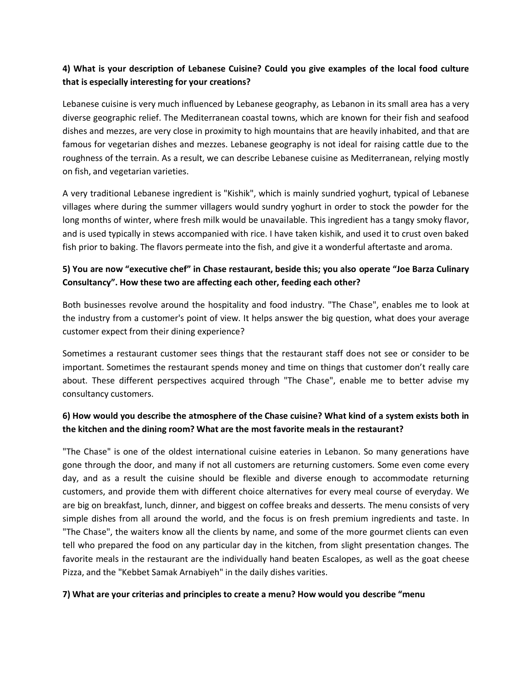## **4) What is your description of Lebanese Cuisine? Could you give examples of the local food culture that is especially interesting for your creations?**

Lebanese cuisine is very much influenced by Lebanese geography, as Lebanon in its small area has a very diverse geographic relief. The Mediterranean coastal towns, which are known for their fish and seafood dishes and mezzes, are very close in proximity to high mountains that are heavily inhabited, and that are famous for vegetarian dishes and mezzes. Lebanese geography is not ideal for raising cattle due to the roughness of the terrain. As a result, we can describe Lebanese cuisine as Mediterranean, relying mostly on fish, and vegetarian varieties.

A very traditional Lebanese ingredient is "Kishik", which is mainly sundried yoghurt, typical of Lebanese villages where during the summer villagers would sundry yoghurt in order to stock the powder for the long months of winter, where fresh milk would be unavailable. This ingredient has a tangy smoky flavor, and is used typically in stews accompanied with rice. I have taken kishik, and used it to crust oven baked fish prior to baking. The flavors permeate into the fish, and give it a wonderful aftertaste and aroma.

## **5) You are now "executive chef" in Chase restaurant, beside this; you also operate "Joe Barza Culinary Consultancy". How these two are affecting each other, feeding each other?**

Both businesses revolve around the hospitality and food industry. "The Chase", enables me to look at the industry from a customer's point of view. It helps answer the big question, what does your average customer expect from their dining experience?

Sometimes a restaurant customer sees things that the restaurant staff does not see or consider to be important. Sometimes the restaurant spends money and time on things that customer don't really care about. These different perspectives acquired through "The Chase", enable me to better advise my consultancy customers.

## **6) How would you describe the atmosphere of the Chase cuisine? What kind of a system exists both in the kitchen and the dining room? What are the most favorite meals in the restaurant?**

"The Chase" is one of the oldest international cuisine eateries in Lebanon. So many generations have gone through the door, and many if not all customers are returning customers. Some even come every day, and as a result the cuisine should be flexible and diverse enough to accommodate returning customers, and provide them with different choice alternatives for every meal course of everyday. We are big on breakfast, lunch, dinner, and biggest on coffee breaks and desserts. The menu consists of very simple dishes from all around the world, and the focus is on fresh premium ingredients and taste. In "The Chase", the waiters know all the clients by name, and some of the more gourmet clients can even tell who prepared the food on any particular day in the kitchen, from slight presentation changes. The favorite meals in the restaurant are the individually hand beaten Escalopes, as well as the goat cheese Pizza, and the "Kebbet Samak Arnabiyeh" in the daily dishes varities.

### **7) What are your criterias and principles to create a menu? How would you describe "menu**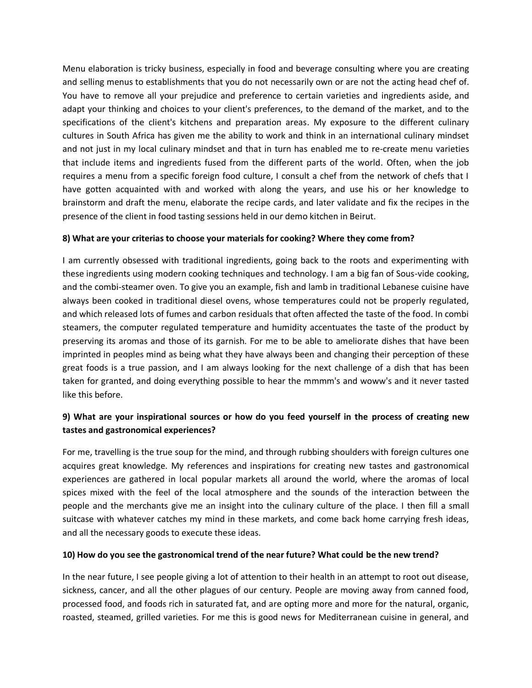Menu elaboration is tricky business, especially in food and beverage consulting where you are creating and selling menus to establishments that you do not necessarily own or are not the acting head chef of. You have to remove all your prejudice and preference to certain varieties and ingredients aside, and adapt your thinking and choices to your client's preferences, to the demand of the market, and to the specifications of the client's kitchens and preparation areas. My exposure to the different culinary cultures in South Africa has given me the ability to work and think in an international culinary mindset and not just in my local culinary mindset and that in turn has enabled me to re-create menu varieties that include items and ingredients fused from the different parts of the world. Often, when the job requires a menu from a specific foreign food culture, I consult a chef from the network of chefs that I have gotten acquainted with and worked with along the years, and use his or her knowledge to brainstorm and draft the menu, elaborate the recipe cards, and later validate and fix the recipes in the presence of the client in food tasting sessions held in our demo kitchen in Beirut.

### **8) What are your criterias to choose your materials for cooking? Where they come from?**

I am currently obsessed with traditional ingredients, going back to the roots and experimenting with these ingredients using modern cooking techniques and technology. I am a big fan of Sous-vide cooking, and the combi-steamer oven. To give you an example, fish and lamb in traditional Lebanese cuisine have always been cooked in traditional diesel ovens, whose temperatures could not be properly regulated, and which released lots of fumes and carbon residuals that often affected the taste of the food. In combi steamers, the computer regulated temperature and humidity accentuates the taste of the product by preserving its aromas and those of its garnish. For me to be able to ameliorate dishes that have been imprinted in peoples mind as being what they have always been and changing their perception of these great foods is a true passion, and I am always looking for the next challenge of a dish that has been taken for granted, and doing everything possible to hear the mmmm's and woww's and it never tasted like this before.

### **9) What are your inspirational sources or how do you feed yourself in the process of creating new tastes and gastronomical experiences?**

For me, travelling is the true soup for the mind, and through rubbing shoulders with foreign cultures one acquires great knowledge. My references and inspirations for creating new tastes and gastronomical experiences are gathered in local popular markets all around the world, where the aromas of local spices mixed with the feel of the local atmosphere and the sounds of the interaction between the people and the merchants give me an insight into the culinary culture of the place. I then fill a small suitcase with whatever catches my mind in these markets, and come back home carrying fresh ideas, and all the necessary goods to execute these ideas.

### **10) How do you see the gastronomical trend of the near future? What could be the new trend?**

In the near future, I see people giving a lot of attention to their health in an attempt to root out disease, sickness, cancer, and all the other plagues of our century. People are moving away from canned food, processed food, and foods rich in saturated fat, and are opting more and more for the natural, organic, roasted, steamed, grilled varieties. For me this is good news for Mediterranean cuisine in general, and